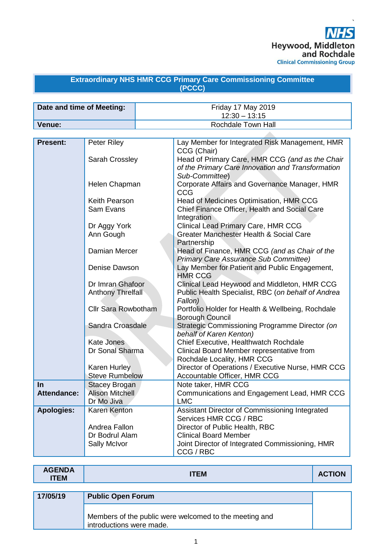

#### **Extraordinary NHS HMR CCG Primary Care Commissioning Committee (PCCC)**

| Date and time of Meeting: | Friday 17 May 2019<br>$12:30 - 13:15$ |
|---------------------------|---------------------------------------|
| Venue:                    | Rochdale Town Hall                    |

| <b>Present:</b>   | Peter Riley                     | Lay Member for Integrated Risk Management, HMR                 |
|-------------------|---------------------------------|----------------------------------------------------------------|
|                   |                                 | CCG (Chair)                                                    |
|                   | Sarah Crossley                  | Head of Primary Care, HMR CCG (and as the Chair                |
|                   |                                 | of the Primary Care Innovation and Transformation              |
|                   |                                 | Sub-Committee)                                                 |
|                   | Helen Chapman                   | Corporate Affairs and Governance Manager, HMR                  |
|                   |                                 | <b>CCG</b>                                                     |
|                   | Keith Pearson                   | Head of Medicines Optimisation, HMR CCG                        |
|                   | Sam Evans                       | Chief Finance Officer, Health and Social Care                  |
|                   |                                 | Integration                                                    |
|                   | Dr Aggy York                    | <b>Clinical Lead Primary Care, HMR CCG</b>                     |
|                   | Ann Gough                       | Greater Manchester Health & Social Care                        |
|                   |                                 | Partnership                                                    |
|                   | Damian Mercer                   | Head of Finance, HMR CCG (and as Chair of the                  |
|                   |                                 | <b>Primary Care Assurance Sub Committee)</b>                   |
|                   | Denise Dawson                   | Lay Member for Patient and Public Engagement,                  |
|                   |                                 | <b>HMR CCG</b>                                                 |
|                   | Dr Imran Ghafoor                | Clinical Lead Heywood and Middleton, HMR CCG                   |
|                   | Anthony Threlfall               | Public Health Specialist, RBC (on behalf of Andrea             |
|                   |                                 | Fallon)                                                        |
|                   | Cllr Sara Rowbotham             | Portfolio Holder for Health & Wellbeing, Rochdale              |
|                   |                                 | Borough Council                                                |
|                   | Sandra Croasdale                | Strategic Commissioning Programme Director (on                 |
|                   |                                 | behalf of Karen Kenton)                                        |
|                   | <b>Kate Jones</b>               | Chief Executive, Healthwatch Rochdale                          |
|                   | Dr Sonal Sharma                 | Clinical Board Member representative from                      |
|                   |                                 | Rochdale Locality, HMR CCG                                     |
|                   | <b>Karen Hurley</b>             | Director of Operations / Executive Nurse, HMR CCG              |
|                   | <b>Steve Rumbelow</b>           | Accountable Officer, HMR CCG                                   |
| In                | <b>Stacey Brogan</b>            | Note taker, HMR CCG                                            |
| Attendance:       | <b>Alison Mitchell</b>          | Communications and Engagement Lead, HMR CCG                    |
|                   | Dr Mo Jiva                      | <b>LMC</b>                                                     |
| <b>Apologies:</b> | Karen Kenton                    | Assistant Director of Commissioning Integrated                 |
|                   |                                 | Services HMR CCG / RBC                                         |
|                   | Andrea Fallon<br>Dr Bodrul Alam | Director of Public Health, RBC<br><b>Clinical Board Member</b> |
|                   |                                 |                                                                |
|                   | Sally McIvor                    | Joint Director of Integrated Commissioning, HMR<br>CCG / RBC   |
|                   |                                 |                                                                |

| <b>AGENDA</b><br><b>ITEM</b> | <b>ITEM</b>                                                                        | <b>ACTION</b> |
|------------------------------|------------------------------------------------------------------------------------|---------------|
|                              |                                                                                    |               |
| 17/05/19                     | <b>Public Open Forum</b>                                                           |               |
|                              | Members of the public were welcomed to the meeting and<br>introductions were made. |               |

 $\mathsf{r}$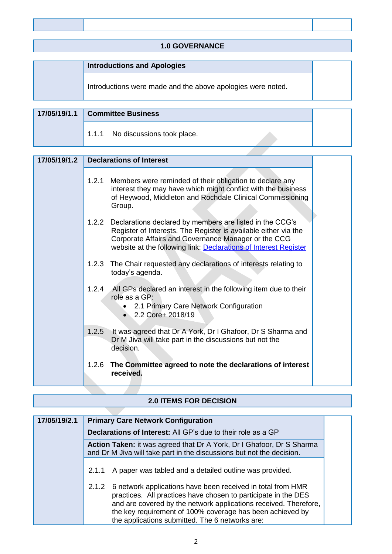| <b>1.0 GOVERNANCE</b>                                       |  |
|-------------------------------------------------------------|--|
|                                                             |  |
| <b>Introductions and Apologies</b>                          |  |
| Introductions were made and the above apologies were noted. |  |

| 17/05/19/1.1 Committee Business  |  |
|----------------------------------|--|
| 1.1.1 No discussions took place. |  |

| 17/05/19/1.2 |       | <b>Declarations of Interest</b>                                                                                                                                                                                                                              |  |
|--------------|-------|--------------------------------------------------------------------------------------------------------------------------------------------------------------------------------------------------------------------------------------------------------------|--|
|              | 1.2.1 | Members were reminded of their obligation to declare any<br>interest they may have which might conflict with the business<br>of Heywood, Middleton and Rochdale Clinical Commissioning<br>Group.                                                             |  |
|              |       | 1.2.2 Declarations declared by members are listed in the CCG's<br>Register of Interests. The Register is available either via the<br>Corporate Affairs and Governance Manager or the CCG<br>website at the following link: Declarations of Interest Register |  |
|              | 1.2.3 | The Chair requested any declarations of interests relating to<br>today's agenda.                                                                                                                                                                             |  |
|              |       | 1.2.4 All GPs declared an interest in the following item due to their<br>role as a GP:<br>2.1 Primary Care Network Configuration<br>$\bullet$<br>2.2 Core+ 2018/19                                                                                           |  |
|              | 1.2.5 | It was agreed that Dr A York, Dr I Ghafoor, Dr S Sharma and<br>Dr M Jiva will take part in the discussions but not the<br>decision.                                                                                                                          |  |
|              | 1.2.6 | The Committee agreed to note the declarations of interest<br>received.                                                                                                                                                                                       |  |

# **2.0 ITEMS FOR DECISION**

| 17/05/19/2.1 | <b>Primary Care Network Configuration</b>                                                                                                                                                                                                                                                                                  |  |  |
|--------------|----------------------------------------------------------------------------------------------------------------------------------------------------------------------------------------------------------------------------------------------------------------------------------------------------------------------------|--|--|
|              | <b>Declarations of Interest:</b> All GP's due to their role as a GP                                                                                                                                                                                                                                                        |  |  |
|              | Action Taken: it was agreed that Dr A York, Dr I Ghafoor, Dr S Sharma<br>and Dr M Jiva will take part in the discussions but not the decision.                                                                                                                                                                             |  |  |
|              | A paper was tabled and a detailed outline was provided.<br>2.1.1                                                                                                                                                                                                                                                           |  |  |
|              | 6 network applications have been received in total from HMR<br>2.1.2<br>practices. All practices have chosen to participate in the DES<br>and are covered by the network applications received. Therefore,<br>the key requirement of 100% coverage has been achieved by<br>the applications submitted. The 6 networks are: |  |  |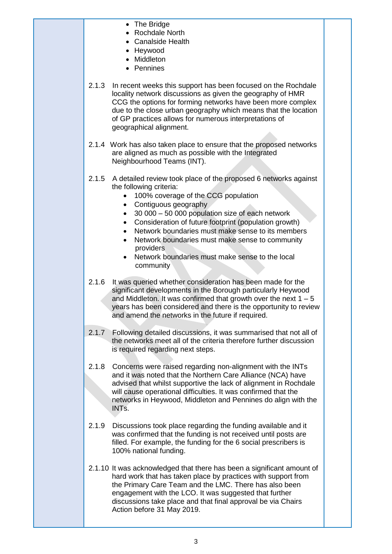• The Bridge • Rochdale North • Canalside Health • Heywood • Middleton • Pennines 2.1.3 In recent weeks this support has been focused on the Rochdale locality network discussions as given the geography of HMR CCG the options for forming networks have been more complex due to the close urban geography which means that the location of GP practices allows for numerous interpretations of geographical alignment. 2.1.4 Work has also taken place to ensure that the proposed networks are aligned as much as possible with the Integrated Neighbourhood Teams (INT). 2.1.5 A detailed review took place of the proposed 6 networks against the following criteria: • 100% coverage of the CCG population • Contiguous geography • 30 000 – 50 000 population size of each network • Consideration of future footprint (population growth) • Network boundaries must make sense to its members • Network boundaries must make sense to community providers • Network boundaries must make sense to the local community 2.1.6 It was queried whether consideration has been made for the significant developments in the Borough particularly Heywood and Middleton. It was confirmed that growth over the next  $1 - 5$ years has been considered and there is the opportunity to review and amend the networks in the future if required. 2.1.7 Following detailed discussions, it was summarised that not all of the networks meet all of the criteria therefore further discussion is required regarding next steps. 2.1.8 Concerns were raised regarding non-alignment with the INTs and it was noted that the Northern Care Alliance (NCA) have advised that whilst supportive the lack of alignment in Rochdale will cause operational difficulties. It was confirmed that the networks in Heywood, Middleton and Pennines do align with the INTs. 2.1.9 Discussions took place regarding the funding available and it was confirmed that the funding is not received until posts are filled. For example, the funding for the 6 social prescribers is 100% national funding. 2.1.10 It was acknowledged that there has been a significant amount of hard work that has taken place by practices with support from the Primary Care Team and the LMC. There has also been engagement with the LCO. It was suggested that further discussions take place and that final approval be via Chairs Action before 31 May 2019.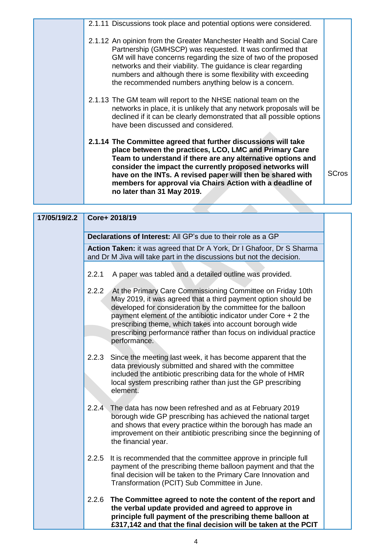| 2.1.11 Discussions took place and potential options were considered.                                                                                                                                                                                                                                                                                                                                         |              |
|--------------------------------------------------------------------------------------------------------------------------------------------------------------------------------------------------------------------------------------------------------------------------------------------------------------------------------------------------------------------------------------------------------------|--------------|
| 2.1.12 An opinion from the Greater Manchester Health and Social Care<br>Partnership (GMHSCP) was requested. It was confirmed that<br>GM will have concerns regarding the size of two of the proposed<br>networks and their viability. The guidance is clear regarding<br>numbers and although there is some flexibility with exceeding<br>the recommended numbers anything below is a concern.               |              |
| 2.1.13 The GM team will report to the NHSE national team on the<br>networks in place, it is unlikely that any network proposals will be<br>declined if it can be clearly demonstrated that all possible options<br>have been discussed and considered.                                                                                                                                                       |              |
| 2.1.14 The Committee agreed that further discussions will take<br>place between the practices, LCO, LMC and Primary Care<br>Team to understand if there are any alternative options and<br>consider the impact the currently proposed networks will<br>have on the INTs. A revised paper will then be shared with<br>members for approval via Chairs Action with a deadline of<br>no later than 31 May 2019. | <b>SCros</b> |
|                                                                                                                                                                                                                                                                                                                                                                                                              |              |

| 17/05/19/2.2 |       | Core+ 2018/19                                                                                                                                                                                                                                                                                                                                                                                                        |
|--------------|-------|----------------------------------------------------------------------------------------------------------------------------------------------------------------------------------------------------------------------------------------------------------------------------------------------------------------------------------------------------------------------------------------------------------------------|
|              |       | Declarations of Interest: All GP's due to their role as a GP                                                                                                                                                                                                                                                                                                                                                         |
|              |       | Action Taken: it was agreed that Dr A York, Dr I Ghafoor, Dr S Sharma<br>and Dr M Jiva will take part in the discussions but not the decision.                                                                                                                                                                                                                                                                       |
|              | 2.2.1 | A paper was tabled and a detailed outline was provided.                                                                                                                                                                                                                                                                                                                                                              |
|              |       | 2.2.2 At the Primary Care Commissioning Committee on Friday 10th<br>May 2019, it was agreed that a third payment option should be<br>developed for consideration by the committee for the balloon<br>payment element of the antibiotic indicator under Core $+2$ the<br>prescribing theme, which takes into account borough wide<br>prescribing performance rather than focus on individual practice<br>performance. |
|              | 2.2.3 | Since the meeting last week, it has become apparent that the<br>data previously submitted and shared with the committee<br>included the antibiotic prescribing data for the whole of HMR<br>local system prescribing rather than just the GP prescribing<br>element.                                                                                                                                                 |
|              | 2.2.4 | The data has now been refreshed and as at February 2019<br>borough wide GP prescribing has achieved the national target<br>and shows that every practice within the borough has made an<br>improvement on their antibiotic prescribing since the beginning of<br>the financial year.                                                                                                                                 |
|              | 2.2.5 | It is recommended that the committee approve in principle full<br>payment of the prescribing theme balloon payment and that the<br>final decision will be taken to the Primary Care Innovation and<br>Transformation (PCIT) Sub Committee in June.                                                                                                                                                                   |
|              | 2.2.6 | The Committee agreed to note the content of the report and<br>the verbal update provided and agreed to approve in<br>principle full payment of the prescribing theme balloon at<br>£317,142 and that the final decision will be taken at the PCIT                                                                                                                                                                    |